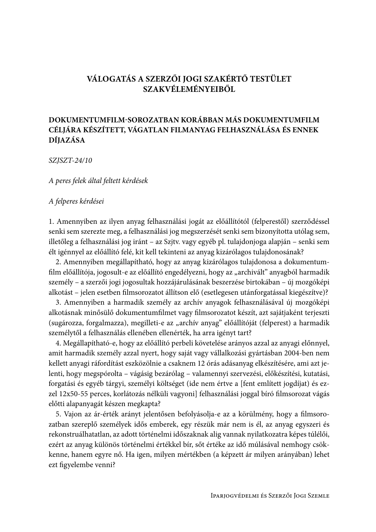# VÁLOGATÁS A SZERZŐI JOGI SZAKÉRTŐ TESTÜLET **SZAKVÉLEMÉNYEIBŐL**

# DOKUMENTUMFILM-SOROZATBAN KORÁBBAN MÁS DOKUMENTUMFILM CÉLJÁRA KÉSZÍTETT, VÁGATLAN FILMANYAG FELHASZNÁLÁSA ÉS ENNEK **DÍJAZÁSA**

SZJSZT-24/10

A peres felek által feltett kérdések

## A felperes kérdései

1. Amennyiben az ilyen anyag felhasználási jogát az előállítótól (felperestől) szerződéssel senki sem szerezte meg, a felhasználási jog megszerzését senki sem bizonyította utólag sem, illetőleg a felhasználási jog iránt – az Szjtv. vagy egyéb pl. tulajdonjoga alapján – senki sem élt igénnyel az előállító felé, kit kell tekinteni az anyag kizárólagos tulajdonosának?

2. Amennyiben megállapítható, hogy az anyag kizárólagos tulajdonosa a dokumentumfilm előállítója, jogosult-e az előállító engedélyezni, hogy az "archivált" anyagból harmadik személy – a szerzői jogi jogosultak hozzájárulásának beszerzése birtokában – új mozgóképi alkotást – jelen esetben filmsorozatot állítson elő (esetlegesen utánforgatással kiegészítve)?

3. Amennyiben a harmadik személy az archív anyagok felhasználásával új mozgóképi alkotásnak minősülő dokumentumfilmet vagy filmsorozatot készít, azt sajátjaként terjeszti (sugározza, forgalmazza), megilleti-e az "archív anyag" előállítóját (felperest) a harmadik személytől a felhasználás ellenében ellenérték, ha arra igényt tart?

4. Megállapítható-e, hogy az előállító perbeli követelése arányos azzal az anyagi előnnyel, amit harmadik személy azzal nyert, hogy saját vagy vállalkozási gyártásban 2004-ben nem kellett anyagi ráfordítást eszközölnie a csaknem 12 órás adásanyag elkészítésére, ami azt jelenti, hogy megspórolta – vágásig bezárólag – valamennyi szervezési, előkészítési, kutatási, forgatási és egyéb tárgyi, személyi költséget (ide nem értve a [fent említett jogdíjat) és ezzel 12x50-55 perces, korlátozás nélküli vagyoni] felhasználási joggal bíró filmsorozat vágás előtti alapanyagát készen megkapta?

5. Vajon az ár-érték arányt jelentősen befolyásolja-e az a körülmény, hogy a filmsorozatban szereplő személyek idős emberek, egy részük már nem is él, az anyag egyszeri és rekonstruálhatatlan, az adott történelmi időszaknak alig vannak nyilatkozatra képes túlélői, ezért az anyag különös történelmi értékkel bír, sőt értéke az idő múlásával nemhogy csökkenne, hanem egyre nő. Ha igen, milyen mértékben (a képzett ár milyen arányában) lehet ezt figyelembe venni?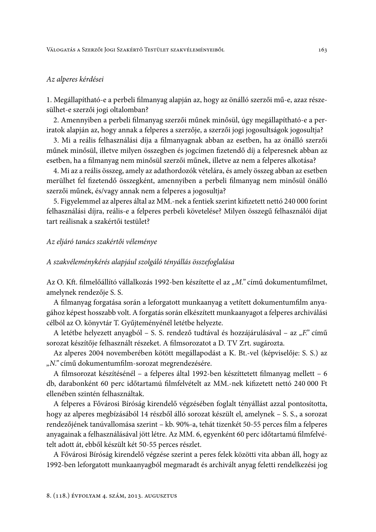## Az alperes kérdései

1. Megállapítható-e a perbeli filmanyag alapján az, hogy az önálló szerzői mű-e, azaz részesülhet-e szerzői jogi oltalomban?

2. Amennyiben a perbeli filmanyag szerzői műnek minősül, úgy megállapítható-e a periratok alapján az, hogy annak a felperes a szerzője, a szerzői jogi jogosultságok jogosultja?

3. Mi a reális felhasználási díja a filmanyagnak abban az esetben, ha az önálló szerzői műnek minősül, illetve milyen összegben és jogcímen fizetendő díj a felperesnek abban az esetben, ha a filmanyag nem minősül szerzői műnek, illetve az nem a felperes alkotása?

4. Mi az a reális összeg, amely az adathordozók vételára, és amely összeg abban az esetben merülhet fel fizetendő összegként, amennyiben a perbeli filmanyag nem minősül önálló szerzői műnek, és/vagy annak nem a felperes a jogosultja?

5. Figyelemmel az alperes által az MM.-nek a fentiek szerint kifizetett nettó 240 000 forint felhasználási díjra, reális-e a felperes perbeli követelése? Milyen összegű felhasználói díjat tart reálisnak a szakértői testület?

### Az eljáró tanács szakértői véleménye

#### A szakvéleménykérés alapjául szolgáló tényállás összefoglalása

Az O. Kft. filmelőállító vállalkozás 1992-ben készítette el az "M." című dokumentumfilmet, amelynek rendezője S. S.

A filmanyag forgatása során a leforgatott munkaanyag a vetített dokumentumfilm anyagához képest hosszabb volt. A forgatás során elkészített munkaanyagot a felperes archiválási célból az O. könyvtár T. Gyűjteményénél letétbe helyezte.

A letétbe helyezett anyagból – S. S. rendező tudtával és hozzájárulásával – az "F." című sorozat készítője felhasznált részeket. A filmsorozatot a D. TV Zrt. sugározta.

Az alperes 2004 novemberében kötött megállapodást a K. Bt.-vel (képviselője: S. S.) az "N." című dokumentumfilm-sorozat megrendezésére.

A filmsorozat készítésénél – a felperes által 1992-ben készíttetett filmanyag mellett – 6 db, darabonként 60 perc időtartamú filmfelvételt az MM.-nek kifizetett nettó 240 000 Ft ellenében szintén felhasználtak.

A felperes a Fővárosi Bíróság kirendelő végzésében foglalt tényállást azzal pontosította, hogy az alperes megbízásából 14 részből álló sorozat készült el, amelynek – S. S., a sorozat rendezőjének tanúvallomása szerint – kb. 90%-a, tehát tizenkét 50-55 perces film a felperes anyagainak a felhasználásával jött létre. Az MM. 6, egyenként 60 perc időtartamú filmfelvételt adott át, ebből készült két 50-55 perces részlet.

A Fővárosi Bíróság kirendelő végzése szerint a peres felek közötti vita abban áll, hogy az 1992-ben leforgatott munkaanyagból megmaradt és archivált anyag feletti rendelkezési jog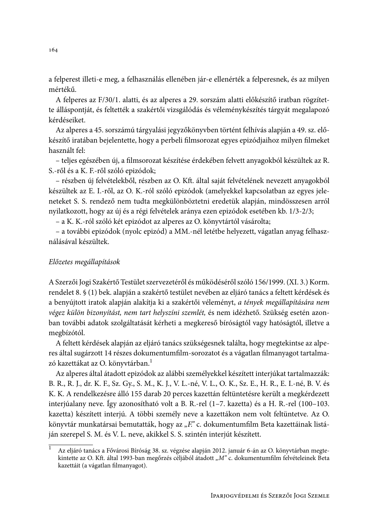a felperest illeti-e meg, a felhasználás ellenében jár-e ellenérték a felperesnek, és az milyen mértékű

A felperes az F/30/1. alatti, és az alperes a 29. sorszám alatti előkészítő iratban rögzítette álláspontját, és feltették a szakértői vizsgálódás és véleménykészítés tárgyát megalapozó kérdéseiket.

Az alperes a 45. sorszámú tárgyalási jegyzőkönyvben történt felhívás alapján a 49. sz. előkészítő iratában bejelentette, hogy a perbeli filmsorozat egyes epizódjaihoz milyen filmeket használt fel:

- teljes egészében új, a filmsorozat készítése érdekében felvett anyagokból készültek az R. S.-ről és a K. F.-ről szóló epizódok;

- részben új felvételekből, részben az O. Kft. által saját felvételének nevezett anyagokból készültek az E. I.-ről, az O. K.-ról szóló epizódok (amelyekkel kapcsolatban az egyes jeleneteket S. S. rendező nem tudta megkülönböztetni eredetük alapján, mindösszesen arról nyilatkozott, hogy az új és a régi felvételek aránya ezen epizódok esetében kb. 1/3-2/3;

- a K. K.-ról szóló két epizódot az alperes az O. könyvtártól vásárolta;

- a további epizódok (nyolc epizód) a MM.-nél letétbe helyezett, vágatlan anyag felhasználásával készültek

## Előzetes megállapítások

A Szerzői Jogi Szakértő Testület szervezetéről és működéséről szóló 156/1999. (XI. 3.) Korm. rendelet 8. § (1) bek. alapján a szakértő testület nevében az eljáró tanács a feltett kérdések és a benyújtott iratok alapján alakítja ki a szakértői véleményt, a tények megállapítására nem végez külön bizonyítást, nem tart helyszíni szemlét, és nem idézhető. Szükség esetén azonban további adatok szolgáltatását kérheti a megkereső bíróságtól vagy hatóságtól, illetve a megbízótól.

A feltett kérdések alapján az eljáró tanács szükségesnek találta, hogy megtekintse az alperes által sugárzott 14 részes dokumentumfilm-sorozatot és a vágatlan filmanyagot tartalmazó kazettákat az O. könyvtárban.<sup>1</sup>

Az alperes által átadott epizódok az alábbi személyekkel készített interjúkat tartalmazzák: B. R., R. J., dr. K. F., Sz. Gy., S. M., K. J., V. L.-né, V. L., O. K., Sz. E., H. R., E. I.-né, B. V. és K. K. A rendelkezésre álló 155 darab 20 perces kazettán feltüntetésre került a megkérdezett interjúalany neve. Így azonosítható volt a B. R.-rel (1-7. kazetta) és a H. R.-rel (100–103. kazetta) készített interjú. A többi személy neve a kazettákon nem volt feltüntetve. Az O. könyvtár munkatársai bemutatták, hogy az "F." c. dokumentumfilm Beta kazettáinak listáján szerepel S. M. és V. L. neve, akikkel S. S. szintén interjút készített.

Az eljáró tanács a Fővárosi Bíróság 38. sz. végzése alapján 2012. január 6-án az O. könyvtárban megtekintette az O. Kft. által 1993-ban megőrzés céljából átadott "M" c. dokumentumfilm felvételeinek Beta kazettáit (a vágatlan filmanyagot).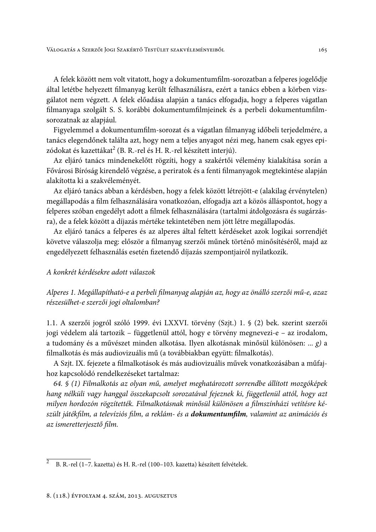A felek között nem volt vitatott, hogy a dokumentumfilm-sorozatban a felperes jogelődje által letétbe helyezett filmanyag került felhasználásra, ezért a tanács ebben a körben vizsgálatot nem végzett. A felek előadása alapján a tanács elfogadja, hogy a felperes vágatlan filmanyaga szolgált S. S. korábbi dokumentumfilmjeinek és a perbeli dokumentumfilmsorozatnak az alapjául.

Figyelemmel a dokumentumfilm-sorozat és a vágatlan filmanyag időbeli terjedelmére, a tanács elegendőnek találta azt, hogy nem a teljes anyagot nézi meg, hanem csak egyes epizódokat és kazettákat<sup>2</sup> (B. R.-rel és H. R.-rel készített interjú).

Az eljáró tanács mindenekelőtt rögzíti, hogy a szakértői vélemény kialakítása során a Fővárosi Bíróság kirendelő végzése, a periratok és a fenti filmanyagok megtekintése alapján alakította ki a szakvéleményét.

Az eljáró tanács abban a kérdésben, hogy a felek között létrejött-e (alakilag érvénytelen) megállapodás a film felhasználására vonatkozóan, elfogadja azt a közös álláspontot, hogy a felperes szóban engedélyt adott a filmek felhasználására (tartalmi átdolgozásra és sugárzásra), de a felek között a díjazás mértéke tekintetében nem jött létre megállapodás.

Az eljáró tanács a felperes és az alperes által feltett kérdéseket azok logikai sorrendjét követve válaszolja meg: először a filmanyag szerzői műnek történő minősítéséről, majd az engedélyezett felhasználás esetén fizetendő díjazás szempontjairól nyilatkozik.

# A konkrét kérdésekre adott válaszok

Alperes 1. Megállapítható-e a perbeli filmanyag alapján az, hogy az önálló szerzői mű-e, azaz részesülhet-e szerzői jogi oltalomban?

1.1. A szerzői jogról szóló 1999. évi LXXVI. törvény (Szjt.) 1. § (2) bek. szerint szerzői jogi védelem alá tartozik – függetlenül attól, hogy e törvény megnevezi-e – az irodalom, a tudomány és a művészet minden alkotása. Ilyen alkotásnak minősül különösen: ... g) a filmalkotás és más audiovizuális mű (a továbbiakban együtt: filmalkotás).

A Szjt. IX. fejezete a filmalkotások és más audiovizuális művek vonatkozásában a műfajhoz kapcsolódó rendelkezéseket tartalmaz:

64. § (1) Filmalkotás az olyan mű, amelyet meghatározott sorrendbe állított mozgóképek hang nélküli vagy hanggal összekapcsolt sorozatával fejeznek ki, függetlenül attól, hogy azt milyen hordozón rögzítették. Filmalkotásnak minősül különösen a filmszínházi vetítésre készült játékfilm, a televíziós film, a reklám- és a **dokumentumfilm**, valamint az animációs és az ismeretterjesztő film.

 $\overline{2}$ B. R.-rel (1-7. kazetta) és H. R.-rel (100-103. kazetta) készített felvételek.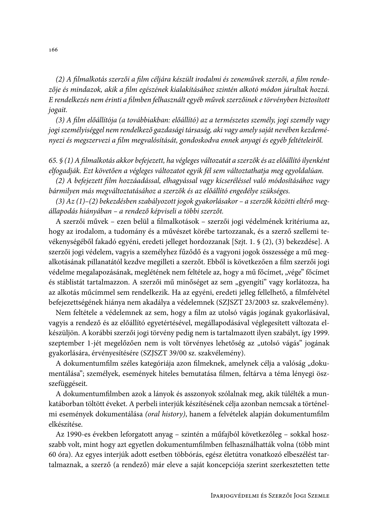(2) A filmalkotás szerzői a film céljára készült irodalmi és zeneművek szerzői, a film rendezője és mindazok, akik a film egészének kialakításához szintén alkotó módon járultak hozzá. E rendelkezés nem érinti a filmben felhasznált egyéb művek szerzőinek e törvényben biztosított jogait.

(3) A film előállítója (a továbbiakban: előállító) az a természetes személy, jogi személy vagy jogi személyiséggel nem rendelkező gazdasági társaság, aki vagy amely saját nevében kezdeményezi és megszervezi a film megvalósítását, gondoskodva ennek anyagi és egyéb feltételeiről.

65. § (1) A filmalkotás akkor befejezett, ha végleges változatát a szerzők és az előállító ilyenként elfogadják. Ezt követően a végleges változatot egyik fél sem változtathatja meg egyoldalúan.

(2) A befejezett film hozzáadással, elhagyással vagy kicseréléssel való módosításához vagy bármilyen más megváltoztatásához a szerzők és az előállító engedélye szükséges.

 $(3)$  Az  $(1)$ – $(2)$  bekezdésben szabályozott jogok gyakorlásakor – a szerzők közötti eltérő megállapodás hiányában – a rendező képviseli a többi szerzőt.

A szerzői művek – ezen belül a filmalkotások – szerzői jogi védelmének kritériuma az, hogy az irodalom, a tudomány és a művészet körébe tartozzanak, és a szerző szellemi tevékenységéből fakadó egyéni, eredeti jelleget hordozzanak [Szjt. 1. § (2), (3) bekezdése]. A szerzői jogi védelem, vagyis a személyhez fűződő és a vagyoni jogok összessége a mű megalkotásának pillanatától kezdve megilleti a szerzőt. Ebből is következően a film szerzői jogi védelme megalapozásának, meglétének nem feltétele az, hogy a mű főcímet, "vége" főcímet és stáblistát tartalmazzon. A szerzői mű minőséget az sem "gyengíti" vagy korlátozza, ha az alkotás műcímmel sem rendelkezik. Ha az egyéni, eredeti jelleg fellelhető, a filmfelvétel befejezettségének hiánya nem akadálya a védelemnek (SZJSZT 23/2003 sz. szakvélemény).

Nem feltétele a védelemnek az sem, hogy a film az utolsó vágás jogának gyakorlásával, vagyis a rendező és az előállító egyetértésével, megállapodásával véglegesített változata elkészüljön. A korábbi szerzői jogi törvény pedig nem is tartalmazott ilyen szabályt, így 1999. szeptember 1-jét megelőzően nem is volt törvényes lehetőség az "utolsó vágás" jogának gyakorlására, érvényesítésére (SZJSZT 39/00 sz. szakvélemény).

A dokumentumfilm széles kategóriája azon filmeknek, amelynek célja a valóság "dokumentálása"; személyek, események hiteles bemutatása filmen, feltárva a téma lényegi öszszefüggéseit.

A dokumentumfilmben azok a lányok és asszonyok szólalnak meg, akik túlélték a munkatáborban töltött éveket. A perbeli interjúk készítésének célja azonban nemcsak a történelmi események dokumentálása (oral history), hanem a felvételek alapján dokumentumfilm elkészítése.

Az 1990-es években leforgatott anyag – szintén a műfajból következőleg – sokkal hoszszabb volt, mint hogy azt egyetlen dokumentumfilmben felhasználhatták volna (több mint 60 óra). Az egyes interjúk adott esetben többórás, egész életútra vonatkozó elbeszélést tartalmaznak, a szerző (a rendező) már eleve a saját koncepciója szerint szerkesztetten tette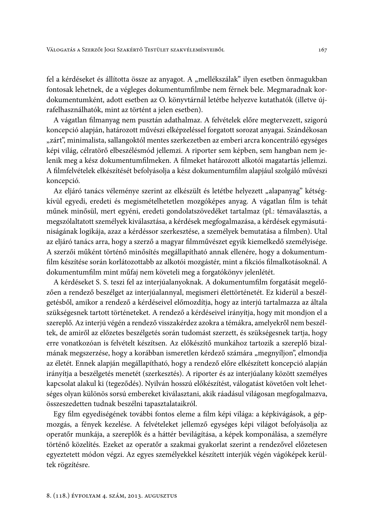fel a kérdéseket és állította össze az anyagot. A "mellékszálak" ilyen esetben önmagukban fontosak lehetnek, de a végleges dokumentumfilmbe nem férnek bele. Megmaradnak kordokumentumként, adott esetben az O. könyvtárnál letétbe helyezve kutathatók (illetve újrafelhasználhatók, mint az történt a jelen esetben).

A vágatlan filmanyag nem pusztán adathalmaz. A felvételek előre megtervezett, szigorú koncepció alapján, határozott művészi elképzeléssel forgatott sorozat anyagai. Szándékosan "zárt", minimalista, sallangoktól mentes szerkezetben az emberi arcra koncentráló egységes képi világ, célratörő elbeszélésmód jellemzi. A riporter sem képben, sem hangban nem jelenik meg a kész dokumentumfilmeken. A filmeket határozott alkotói magatartás jellemzi. A filmfelvételek elkészítését befolyásolja a kész dokumentumfilm alapjául szolgáló művészi koncepció.

Az eljáró tanács véleménye szerint az elkészült és letétbe helyezett "alapanyag" kétségkívül egyedi, eredeti és megismételhetetlen mozgóképes anyag. A vágatlan film is tehát műnek minősül, mert egyéni, eredeti gondolatszövedéket tartalmaz (pl.: témaválasztás, a megszólaltatott személyek kiválasztása, a kérdések megfogalmazása, a kérdések egymásutániságának logikája, azaz a kérdéssor szerkesztése, a személyek bemutatása a filmben). Utal az eljáró tanács arra, hogy a szerző a magyar filmművészet egyik kiemelkedő személyisége. A szerzői műként történő minősítés megállapítható annak ellenére, hogy a dokumentumfilm készítése során korlátozottabb az alkotói mozgástér, mint a fikciós filmalkotásoknál. A dokumentumfilm mint műfaj nem követeli meg a forgatókönyv jelenlétét.

A kérdéseket S. S. teszi fel az interjúalanyoknak. A dokumentumfilm forgatását megelőzően a rendező beszélget az interjúalannyal, megismeri élettörténetét. Ez kiderül a beszélgetésből, amikor a rendező a kérdéseivel előmozdítja, hogy az interjú tartalmazza az általa szükségesnek tartott történeteket. A rendező a kérdéseivel irányítja, hogy mit mondjon el a szereplő. Az interjú végén a rendező visszakérdez azokra a témákra, amelyekről nem beszéltek, de amiről az előzetes beszélgetés során tudomást szerzett, és szükségesnek tartja, hogy erre vonatkozóan is felvételt készítsen. Az előkészítő munkához tartozik a szereplő bizalmának megszerzése, hogy a korábban ismeretlen kérdező számára "megnyíljon", elmondja az életét. Ennek alapján megállapítható, hogy a rendező előre elkészített koncepció alapján irányítja a beszélgetés menetét (szerkesztés). A riporter és az interjúalany között személyes kapcsolat alakul ki (tegeződés). Nyilván hosszú előkészítést, válogatást követően volt lehetséges olyan különös sorsú embereket kiválasztani, akik ráadásul világosan megfogalmazva, összeszedetten tudnak beszélni tapasztalataikról.

Egy film egyediségének további fontos eleme a film képi világa: a képkivágások, a gépmozgás, a fények kezelése. A felvételeket jellemző egységes képi világot befolyásolja az operatőr munkája, a szereplők és a háttér bevilágítása, a képek komponálása, a személyre történő közelítés. Ezeket az operatőr a szakmai gyakorlat szerint a rendezővel előzetesen egyeztetett módon végzi. Az egyes személyekkel készített interjúk végén vágóképek kerültek rögzítésre.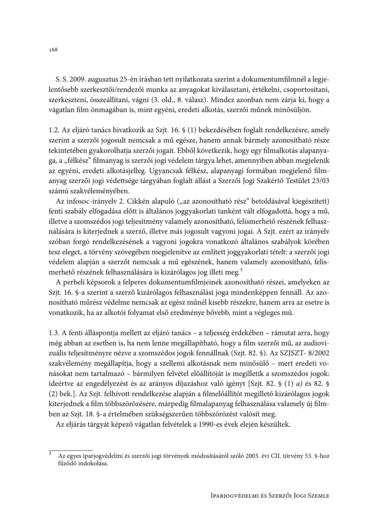S. S. 2009. augusztus 25-én írásban tett nyilatkozata szerint a dokumentumfilmnél a legjelentősebb szerkesztői/rendezői munka az anyagokat kiválasztani, értékelni, csoportosítani, szerkeszteni, összeállítani, vágni (3. old., 8. válasz). Mindez azonban nem zárja ki, hogy a vágatlan film önmagában is, mint egyéni, eredeti alkotás, szerzői műnek minősüljön.

1.2. Az eljáró tanács hivatkozik az Szjt. 16. § (1) bekezdésében foglalt rendelkezésre, amely szerint a szerzői jogosult nemcsak a mű egésze, hanem annak bármely azonosítható része tekintetében gyakorolhatja szerzői jogait. Ebből következik, hogy egy filmalkotás alapanyaga, a "félkész" filmanyag is szerzői jogi védelem tárgya lehet, amennyiben abban megjelenik az egyéni, eredeti alkotásjelleg. Ugyancsak félkész, alapanyagi formában megjelenő filmanyag szerzői jogi védettsége tárgyában foglalt állást a Szerzői Jogi Szakértő Testület 23/03 számú szakvéleményében.

Az infosoc-irányelv 2. Cikkén alapuló ("az azonosítható rész" betoldásával kiegészített) fenti szabály elfogadása előtt is általános joggyakorlati tanként vált elfogadottá, hogy a mű, illetve a szomszédos jogi teljesítmény valamely azonosítható, felismerhető részének felhasználására is kiterjednek a szerző, illetve más jogosult vagyoni jogai. A Szjt. ezért az irányelv szóban forgó rendelkezésének a vagyoni jogokra vonatkozó általános szabályok körében tesz eleget, a törvény szövegében megjelenítve az említett joggyakorlati tételt: a szerzői jogi védelem alapján a szerzőt nemcsak a mű egészének, hanem valamely azonosítható, felismerhető részének felhasználására is kizárólagos jog illeti meg.<sup>3</sup>

A perbeli képsorok a felperes dokumentumfilmjeinek azonosítható részei, amelyeken az Szjt. 16. §-a szerint a szerző kizárólagos felhasználási joga mindenképpen fennáll. Az azonosítható műrész védelme nemcsak az egész műnél kisebb részekre, hanem arra az esetre is vonatkozik, ha az alkotói folyamat első eredménye bővebb, mint a végleges mű.

1.3. A fenti álláspontja mellett az eljáró tanács – a teljesség érdekében – rámutat arra, hogy még abban az esetben is, ha nem lenne megállapítható, hogy a film szerzői mű, az audiovizuális teljesítményre nézve a szomszédos jogok fennállnak (Szjt. 82. §). Az SZJSZT-8/2002 szakvélemény megállapítja, hogy a szellemi alkotásnak nem minősülő – mert eredeti vonásokat nem tartalmazó – bármilyen felvétel előállítóját is megilletik a szomszédos jogok: ideértve az engedélyezést és az arányos díjazáshoz való igényt [Szjt. 82. § (1) a) és 82. § (2) bek.]. Az Szjt. felhívott rendelkezése alapján a filmelőállítót megillető kizárólagos jogok kiterjednek a film többszörözésére, márpedig filmalapanyag felhasználása valamely új filmben az Szjt. 18. §-a értelmében szükségszerűen többszörözést valósít meg.

Az eljárás tárgyát képező vágatlan felvételek a 1990-es évek elején készültek.

 $\overline{3}$ Az egyes iparjogvédelmi és szerzői jogi törvények módosításáról szóló 2003. évi CII. törvény 53. §-hoz fűződő indokolása.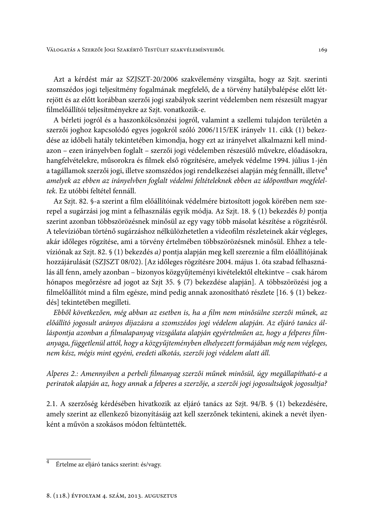Azt a kérdést már az SZJSZT-20/2006 szakvélemény vizsgálta, hogy az Szjt. szerinti szomszédos jogi teljesítmény fogalmának megfelelő, de a törvény hatálybalépése előtt létrejött és az előtt korábban szerzői jogi szabályok szerint védelemben nem részesült magyar filmelőállítói teljesítményekre az Szjt. vonatkozik-e.

A bérleti jogról és a haszonkölcsönzési jogról, valamint a szellemi tulajdon területén a szerzői joghoz kapcsolódó egyes jogokról szóló 2006/115/EK irányelv 11. cikk (1) bekezdése az időbeli hatály tekintetében kimondja, hogy ezt az irányelvet alkalmazni kell mindazon – ezen irányelvben foglalt – szerzői jogi védelemben részesülő művekre, előadásokra, hangfelvételekre, műsorokra és filmek első rögzítésére, amelyek védelme 1994. július 1-jén a tagállamok szerzői jogi, illetve szomszédos jogi rendelkezései alapján még fennállt, illetve<sup>4</sup> amelyek az ebben az irányelvben foglalt védelmi feltételeknek ebben az időpontban megfeleltek. Ez utóbbi feltétel fennáll.

Az Szjt. 82. §-a szerint a film előállítóinak védelmére biztosított jogok körében nem szerepel a sugárzási jog mint a felhasználás egyik módja. Az Szjt. 18. § (1) bekezdés b) pontja szerint azonban többszörözésnek minősül az egy vagy több másolat készítése a rögzítésről. A televízióban történő sugárzáshoz nélkülözhetetlen a videofilm részleteinek akár végleges, akár időleges rögzítése, ami a törvény értelmében többszörözésnek minősül. Ehhez a televíziónak az Szjt. 82. § (1) bekezdés a) pontja alapján meg kell szereznie a film előállítójának hozzájárulását (SZJSZT 08/02). [Az időleges rögzítésre 2004. május 1. óta szabad felhasználás áll fenn, amely azonban – bizonyos közgyűjteményi kivételektől eltekintve – csak három hónapos megőrzésre ad jogot az Szjt 35. § (7) bekezdése alapján]. A többszörözési jog a filmelőállítót mind a film egésze, mind pedig annak azonosítható részlete [16. § (1) bekezdés] tekintetében megilleti.

Ebből következően, még abban az esetben is, ha a film nem minősülne szerzői műnek, az előállító jogosult arányos díjazásra a szomszédos jogi védelem alapján. Az eljáró tanács álláspontja azonban a filmalapanyag vizsgálata alapján egyértelműen az, hogy a felperes filmanyaga, függetlenül attól, hogy a közgyűjteményben elhelyezett formájában még nem végleges, nem kész, mégis mint egyéni, eredeti alkotás, szerzői jogi védelem alatt áll.

Alperes 2.: Amennyiben a perbeli filmanyag szerzői műnek minősül, úgy megállapítható-e a periratok alapján az, hogy annak a felperes a szerzője, a szerzői jogi jogosultságok jogosultja?

2.1. A szerzőség kérdésében hivatkozik az eljáró tanács az Szjt. 94/B. § (1) bekezdésére, amely szerint az ellenkező bizonyításáig azt kell szerzőnek tekinteni, akinek a nevét ilyenként a művön a szokásos módon feltüntették.

 $\overline{4}$ Értelme az eljáró tanács szerint: és/vagy.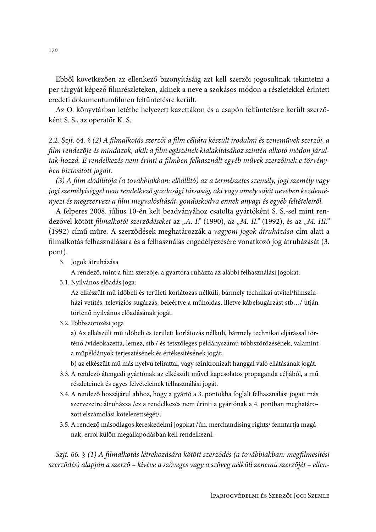Ebből következően az ellenkező bizonyításáig azt kell szerzői jogosultnak tekintetni a per tárgyát képező filmrészleteken, akinek a neve a szokásos módon a részletekkel érintett eredeti dokumentumfilmen feltüntetésre került.

Az O. könyvtárban letétbe helyezett kazettákon és a csapón feltüntetésre került szerzőként S. S., az operatőr K. S.

2.2. Szjt. 64. § (2) A filmalkotás szerzői a film céljára készült irodalmi és zeneművek szerzői, a film rendezője és mindazok, akik a film egészének kialakításához szintén alkotó módon járultak hozzá. E rendelkezés nem érinti a filmben felhasznált egyéb művek szerzőinek e törvényben biztosított jogait.

(3) A film előállítója (a továbbiakban: előállító) az a természetes személy, jogi személy vagy jogi személyiséggel nem rendelkező gazdasági társaság, aki vagy amely saját nevében kezdeményezi és megszervezi a film megvalósítását, gondoskodva ennek anyagi és egyéb feltételeiről.

A felperes 2008. július 10-én kelt beadványához csatolta gyártóként S. S.-sel mint rendezővel kötött filmalkotói szerződéseket az "A. I." (1990), az "M. II." (1992), és az "M. III." (1992) című műre. A szerződések meghatározzák a vagyoni jogok átruházása cím alatt a filmalkotás felhasználására és a felhasználás engedélyezésére vonatkozó jog átruházását (3. pont).

3. Jogok átruházása

A rendező, mint a film szerzője, a gyártóra ruházza az alábbi felhasználási jogokat:

3.1. Nyilvános előadás joga:

Az elkészült mű időbeli és területi korlátozás nélküli, bármely technikai átvitel/filmszínházi vetítés, televíziós sugárzás, beleértve a műholdas, illetve kábelsugárzást stb.../ útján történő nyilvános előadásának jogát.

3.2. Többszörözési joga

a) Az elkészült mű időbeli és területi korlátozás nélküli, bármely technikai eljárással történő /videokazetta, lemez, stb./ és tetszőleges példányszámú többszörözésének, valamint a műpéldányok terjesztésének és értékesítésének jogát;

b) az elkészült mű más nyelvű felirattal, vagy szinkronizált hanggal való ellátásának jogát.

- 3.3. A rendező átengedi gyártónak az elkészült művel kapcsolatos propaganda céljából, a mű részleteinek és egyes felvételeinek felhasználási jogát.
- 3.4. A rendező hozzájárul ahhoz, hogy a gyártó a 3. pontokba foglalt felhasználási jogait más szervezetre átruházza /ez a rendelkezés nem érinti a gyártónak a 4. pontban meghatározott elszámolási kötelezettségét/.
- 3.5. A rendező másodlagos kereskedelmi jogokat /ún. merchandising rights/ fenntartja magának, erről külön megállapodásban kell rendelkezni.

Szjt. 66. § (1) A filmalkotás létrehozására kötött szerződés (a továbbiakban: megfilmesítési szerződés) alapján a szerző – kivéve a szöveges vagy a szöveg nélküli zenemű szerzőjét – ellen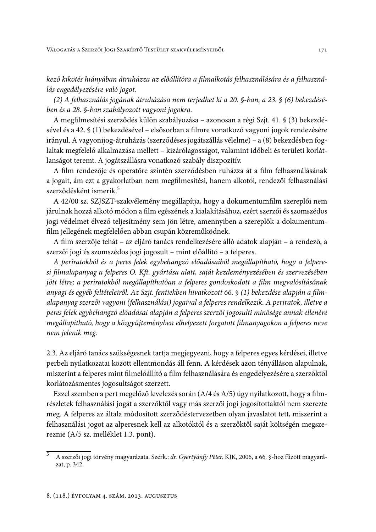kező kikötés hiányában átruházza az előállítóra a filmalkotás felhasználására és a felhasználás engedélyezésére való jogot.

(2) A felhasználás jogának átruházása nem terjedhet ki a 20. §-ban, a 23. § (6) bekezdésében és a 28. §-ban szabályozott vagyoni jogokra.

A megfilmesítési szerződés külön szabályozása – azonosan a régi Szjt. 41. § (3) bekezdésével és a 42. § (1) bekezdésével – elsősorban a filmre vonatkozó vagyoni jogok rendezésére irányul. A vagyonijog-átruházás (szerződéses jogátszállás vélelme) – a (8) bekezdésben foglaltak megfelelő alkalmazása mellett – kizárólagosságot, valamint időbeli és területi korlátlanságot teremt. A jogátszállásra vonatkozó szabály diszpozitív.

A film rendezője és operatőre szintén szerződésben ruházza át a film felhasználásának a jogait, ám ezt a gyakorlatban nem megfilmesítési, hanem alkotói, rendezői felhasználási szerződésként ismerik.<sup>5</sup>

A 42/00 sz. SZJSZT-szakvélemény megállapítja, hogy a dokumentumfilm szereplői nem járulnak hozzá alkotó módon a film egészének a kialakításához, ezért szerzői és szomszédos jogi védelmet élvező teljesítmény sem jön létre, amennyiben a szereplők a dokumentumfilm jellegének megfelelően abban csupán közreműködnek.

A film szerzője tehát – az eljáró tanács rendelkezésére álló adatok alapján – a rendező, a szerzői jogi és szomszédos jogi jogosult – mint előállító – a felperes.

A periratokból és a peres felek egybehangzó előadásaiból megállapítható, hogy a felperesi filmalapanyag a felperes O. Kft. gyártása alatt, saját kezdeményezésében és szervezésében jött létre; a periratokból megállapíthatóan a felperes gondoskodott a film megvalósításának anyagi és egyéb feltételeiről. Az Szjt. fentiekben hivatkozott 66. § (1) bekezdése alapján a filmalapanyag szerzői vagyoni (felhasználási) jogaival a felperes rendelkezik. A periratok, illetve a peres felek egybehangzó előadásai alapján a felperes szerzői jogosulti minősége annak ellenére megállapítható, hogy a közgyűjteményben elhelyezett forgatott filmanyagokon a felperes neve nem jelenik meg.

2.3. Az eljáró tanács szükségesnek tartja megjegyezni, hogy a felperes egyes kérdései, illetve perbeli nyilatkozatai között ellentmondás áll fenn. A kérdések azon tényálláson alapulnak, miszerint a felperes mint filmelőállító a film felhasználására és engedélyezésére a szerzőktől korlátozásmentes jogosultságot szerzett.

Ezzel szemben a pert megelőző levelezés során (A/4 és A/5) úgy nyilatkozott, hogy a filmrészletek felhasználási jogát a szerzőktől vagy más szerzői jogi jogosítottaktól nem szerezte meg. A felperes az általa módosított szerződéstervezetben olyan javaslatot tett, miszerint a felhasználási jogot az alperesnek kell az alkotóktól és a szerzőktől saját költségén megszereznie (A/5 sz. melléklet 1.3. pont).

A szerzői jogi törvény magyarázata. Szerk.: dr. Gyertyánfy Péter, KJK, 2006, a 66. §-hoz fűzött magyarázat, p. 342.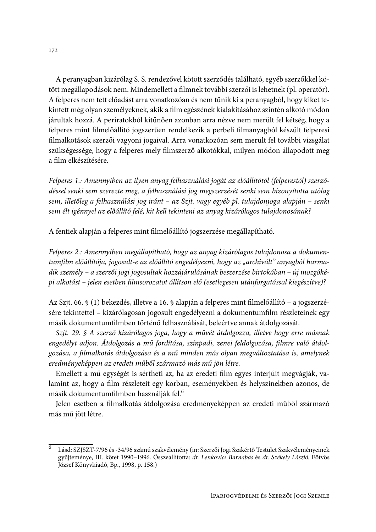A peranyagban kizárólag S. S. rendezővel kötött szerződés található, egyéb szerzőkkel kötött megállapodások nem. Mindemellett a filmnek további szerzői is lehetnek (pl. operatőr). A felperes nem tett előadást arra vonatkozóan és nem tűnik ki a peranyagból, hogy kiket tekintett még olyan személyeknek, akik a film egészének kialakításához szintén alkotó módon járultak hozzá. A periratokból kitűnően azonban arra nézve nem merült fel kétség, hogy a felperes mint filmelőállító jogszerűen rendelkezik a perbeli filmanyagból készült felperesi filmalkotások szerzői vagyoni jogaival. Arra vonatkozóan sem merült fel további vizsgálat szükségessége, hogy a felperes mely filmszerző alkotókkal, milyen módon állapodott meg a film elkészítésére.

Felperes 1.: Amennyiben az ilyen anyag felhasználási jogát az előállítótól (felperestől) szerződéssel senki sem szerezte meg, a felhasználási jog megszerzését senki sem bizonyította utólag sem, illetőleg a felhasználási jog iránt – az Szjt. vagy egyéb pl. tulajdonjoga alapján – senki sem élt igénnyel az előállító felé, kit kell tekinteni az anyag kizárólagos tulajdonosának?

A fentiek alapján a felperes mint filmelőállító jogszerzése megállapítható.

Felperes 2.: Amennyiben megállapítható, hogy az anyag kizárólagos tulajdonosa a dokumentumfilm előállítója, jogosult-e az előállító engedélyezni, hogy az "archivált" anyagból harmadik személy – a szerzői jogi jogosultak hozzájárulásának beszerzése birtokában – új mozgóképi alkotást – jelen esetben filmsorozatot állítson elő (esetlegesen utánforgatással kiegészítve)?

Az Szjt. 66. § (1) bekezdés, illetve a 16. § alapján a felperes mint filmelőállító – a jogszerzésére tekintettel - kizárólagosan jogosult engedélyezni a dokumentumfilm részleteinek egy másik dokumentumfilmben történő felhasználását, beleértve annak átdolgozását.

Szjt. 29. § A szerző kizárólagos joga, hogy a művét átdolgozza, illetve hogy erre másnak engedélyt adjon. Átdolgozás a mű fordítása, színpadi, zenei feldolgozása, filmre való átdolgozása, a filmalkotás átdolgozása és a mű minden más olyan megváltoztatása is, amelynek eredményeképpen az eredeti műből származó más mű jön létre.

Emellett a mű egységét is sértheti az, ha az eredeti film egyes interjúit megvágják, valamint az, hogy a film részleteit egy korban, eseményekben és helyszínekben azonos, de másik dokumentumfilmben használják fel.<sup>6</sup>

Jelen esetben a filmalkotás átdolgozása eredményeképpen az eredeti műből származó más mű jött létre.

 $\overline{6}$ Lásd: SZJSZT-7/96 és -34/96 számú szakvélemény (in: Szerzői Jogi Szakértő Testület Szakvéleményeinek gyűjteménye, III. kötet 1990-1996. Összeállította: dr. Lenkovics Barnabás és dr. Székely László. Eötvös József Könyvkiadó, Bp., 1998, p. 158.)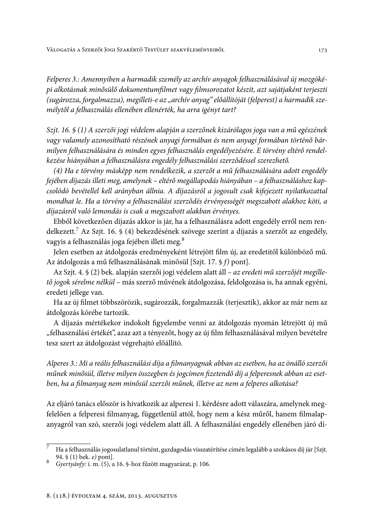Felperes 3.: Amennyiben a harmadik személy az archív anyagok felhasználásával új mozgóképi alkotásnak minősülő dokumentumfilmet vagy filmsorozatot készít, azt sajátjaként terjeszti (sugározza, forgalmazza), megilleti-e az "archív anyag" előállítóját (felperest) a harmadik személytől a felhasználás ellenében ellenérték, ha arra igényt tart?

Szjt. 16. § (1) A szerzői jogi védelem alapján a szerzőnek kizárólagos joga van a mű egészének vagy valamely azonosítható részének anyagi formában és nem anyagi formában történő bármilyen felhasználására és minden egyes felhasználás engedélyezésére. E törvény eltérő rendelkezése hiányában a felhasználásra engedély felhasználási szerződéssel szerezhető.

(4) Ha e törvény másképp nem rendelkezik, a szerzőt a mű felhasználására adott engedély fejében díjazás illeti meg, amelynek – eltérő megállapodás hiányában – a felhasználáshoz kapcsolódó bevétellel kell arányban állnia. A díjazásról a jogosult csak kifejezett nyilatkozattal mondhat le. Ha a törvény a felhasználási szerződés érvényességét megszabott alakhoz köti, a díjazásról való lemondás is csak a megszabott alakban érvényes.

Ebből következően díjazás akkor is jár, ha a felhasználásra adott engedély erről nem rendelkezett.<sup>7</sup> Az Szjt. 16. § (4) bekezdésének szövege szerint a díjazás a szerzőt az engedély, vagyis a felhasználás joga fejében illeti meg.<sup>8</sup>

Jelen esetben az átdolgozás eredményeként létrejött film új, az eredetitől különböző mű. Az átdolgozás a mű felhasználásának minősül [Szjt. 17. § f) pont].

Az Szjt. 4. § (2) bek. alapján szerzői jogi védelem alatt áll – az eredeti mű szerzőjét megillető jogok sérelme nélkül – más szerző művének átdolgozása, feldolgozása is, ha annak egyéni, eredeti jellege van.

Ha az új filmet többszörözik, sugározzák, forgalmazzák (terjesztik), akkor az már nem az átdolgozás körébe tartozik.

A díjazás mértékekor indokolt figyelembe venni az átdolgozás nyomán létrejött új mű "felhasználási értékét", azaz azt a tényezőt, hogy az új film felhasználásával milyen bevételre tesz szert az átdolgozást végrehajtó előállító.

Alperes 3.: Mi a reális felhasználási díja a filmanyagnak abban az esetben, ha az önálló szerzői műnek minősül, illetve milyen összegben és jogcímen fizetendő díj a felperesnek abban az esetben, ha a filmanyag nem minősül szerzői műnek, illetve az nem a felperes alkotása?

Az eljáró tanács először is hivatkozik az alperesi 1. kérdésre adott válaszára, amelynek megfelelően a felperesi filmanyag, függetlenül attól, hogy nem a kész műről, hanem filmalapanyagról van szó, szerzői jogi védelem alatt áll. A felhasználási engedély ellenében járó dí-

Ha a felhasználás jogosulatlanul történt, gazdagodás visszatérítése címén legalább a szokásos díj jár [Szjt. 94.  $\S$  (1) bek. *e*) pont].

<sup>8</sup> Gyertyánfy: i. m. (5), a 16. §-hoz fűzött magyarázat, p. 106.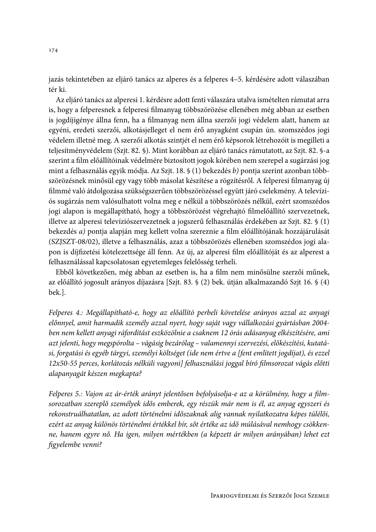jazás tekintetében az eljáró tanács az alperes és a felperes 4–5. kérdésére adott válaszában tér ki.

Az eljáró tanács az alperesi 1. kérdésre adott fenti válaszára utalva ismételten rámutat arra is, hogy a felperesnek a felperesi filmanyag többszörözése ellenében még abban az esetben is jogdíjigénye állna fenn, ha a filmanyag nem állna szerzői jogi védelem alatt, hanem az egyéni, eredeti szerzői, alkotásjelleget el nem érő anyagként csupán ún. szomszédos jogi védelem illetné meg. A szerzői alkotás szintjét el nem érő képsorok létrehozóit is megilleti a teljesítményvédelem (Szjt. 82. §). Mint korábban az eljáró tanács rámutatott, az Szjt. 82. §-a szerint a film előállítóinak védelmére biztosított jogok körében nem szerepel a sugárzási jog mint a felhasználás egyik módja. Az Szjt. 18. § (1) bekezdés b) pontja szerint azonban többszörözésnek minősül egy vagy több másolat készítése a rögzítésről. A felperesi filmanyag új filmmé való átdolgozása szükségszerűen többszörözéssel együtt járó cselekmény. A televíziós sugárzás nem valósulhatott volna meg e nélkül a többszörözés nélkül, ezért szomszédos jogi alapon is megállapítható, hogy a többszörözést végrehajtó filmelőállító szervezetnek, illetve az alperesi televíziószervezetnek a jogszerű felhasználás érdekében az Szjt. 82. § (1) bekezdés a) pontja alapján meg kellett volna szereznie a film előállítójának hozzájárulását (SZJSZT-08/02), illetve a felhasználás, azaz a többszörözés ellenében szomszédos jogi alapon is díjfizetési kötelezettsége áll fenn. Az új, az alperesi film előállítóját és az alperest a felhasználással kapcsolatosan egyetemleges felelősség terheli.

Ebből következően, még abban az esetben is, ha a film nem minősülne szerzői műnek, az előállító jogosult arányos díjazásra [Szjt. 83. § (2) bek. útján alkalmazandó Szjt 16. § (4) bek.].

Felperes 4.: Megállapítható-e, hogy az előállító perbeli követelése arányos azzal az anyagi előnnyel, amit harmadik személy azzal nyert, hogy saját vagy vállalkozási gyártásban 2004ben nem kellett anyagi ráfordítást eszközölnie a csaknem 12 órás adásanyag elkészítésére, ami azt jelenti, hogy megspórolta – vágásig bezárólag – valamennyi szervezési, előkészítési, kutatási, forgatási és egyéb tárgyi, személyi költséget (ide nem értve a [fent említett jogdíjat), és ezzel 12x50-55 perces, korlátozás nélküli vagyoni] felhasználási joggal bíró filmsorozat vágás előtti alapanyagát készen megkapta?

Felperes 5.: Vajon az ár-érték arányt jelentősen befolyásolja-e az a körülmény, hogy a filmsorozatban szereplő személyek idős emberek, egy részük már nem is él, az anyag egyszeri és rekonstruálhatatlan, az adott történelmi időszaknak alig vannak nyilatkozatra képes túlélői, ezért az anyag különös történelmi értékkel bír, sőt értéke az idő múlásával nemhogy csökkenne, hanem egyre nő. Ha igen, milyen mértékben (a képzett ár milyen arányában) lehet ezt figyelembe venni?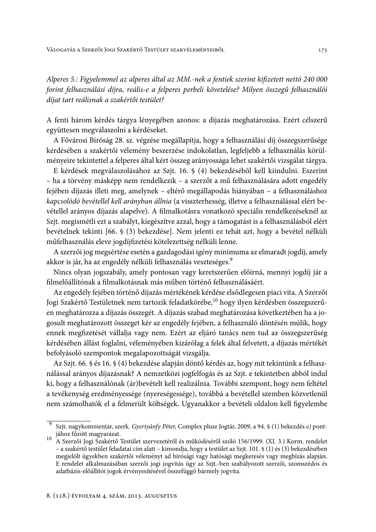Alperes 5.: Figyelemmel az alperes által az MM.-nek a fentiek szerint kifizetett nettó 240 000 forint felhasználási díjra, reális-e a felperes perbeli követelése? Milyen összegű felhasználói díjat tart reálisnak a szakértői testület?

175

A fenti három kérdés tárgya lényegében azonos: a díjazás meghatározása. Ezért célszerű együttesen megválaszolni a kérdéseket.

A Fővárosi Bíróság 28. sz. végzése megállapítja, hogy a felhasználási díj összegszerűsége kérdésében a szakértői vélemény beszerzése indokolatlan, legfeljebb a felhasználás körülményeire tekintettel a felperes által kért összeg arányossága lehet szakértői vizsgálat tárgya.

E kérdések megválaszolásához az Szjt. 16. § (4) bekezdéséből kell kiindulni. Eszerint - ha a törvény másképp nem rendelkezik - a szerzőt a mű felhasználására adott engedély fejében díjazás illeti meg, amelynek - eltérő megállapodás hiányában - a felhasználáshoz kapcsolódó bevétellel kell arányban állnia (a visszterhesség, illetve a felhasználással elért bevétellel arányos díjazás alapelve). A filmalkotásra vonatkozó speciális rendelkezéseknél az Szjt. megismétli ezt a szabályt, kiegészítve azzal, hogy a támogatást is a felhasználásból elért bevételnek tekinti [66. § (3) bekezdése]. Nem jelenti ez tehát azt, hogy a bevétel nélküli műfelhasználás eleve jogdíjfizetési kötelezettség nélküli lenne.

A szerzői jog megsértése esetén a gazdagodási igény minimuma az elmaradt jogdíj, amely akkor is jár, ha az engedély nélküli felhasználás veszteséges.<sup>9</sup>

Nincs olyan jogszabály, amely pontosan vagy keretszerűen előírná, mennyi jogdíj jár a filmelőállítónak a filmalkotásnak más műben történő felhasználásáért.

Az engedély fejében történő díjazás mértékének kérdése elsődlegesen piaci vita. A Szerzői Jogi Szakértő Testületnek nem tartozik feladatkörébe,<sup>10</sup> hogy ilyen kérdésben összegszerűen meghatározza a díjazás összegét. A díjazás szabad meghatározása következtében ha a jogosult meghatározott összeget kér az engedély fejében, a felhasználó döntésén múlik, hogy ennek megfizetését vállalja vagy nem. Ezért az eljáró tanács nem tud az összegszerűség kérdésében állást foglalni, véleményében kizárólag a felek által felvetett, a díjazás mértékét befolyásoló szempontok megalapozottságát vizsgálja.

Az Szjt. 66. § és 16. § (4) bekezdése alapján döntő kérdés az, hogy mit tekintünk a felhasználással arányos díjazásnak? A nemzetközi jogfelfogás és az Szjt. e tekintetben abból indul ki, hogy a felhasználónak (ár)bevételt kell realizálnia. További szempont, hogy nem feltétel a tevékenység eredményessége (nyereségessége), továbbá a bevétellel szemben közvetlenül nem számolhatók el a felmerült költségek. Ugyanakkor a bevételi oldalon kell figyelembe

Szjt. nagykommentár, szerk. Gyertyánfy Péter, Complex plusz Jogtár, 2009, a 94. § (1) bekezdés e) pontjához fűzött magyarázat.

A Szerzői Jogi Szakértő Testület szervezetéről és működéséről szóló 156/1999. (XI. 3.) Korm. rendelet – a szakértő testület feladatai cím alatt – kimondja, hogy a testület az Szjt. 101. § (1) és (3) bekezdésében megjelölt ügyekben szakértői véleményt ad bírósági vagy hatósági megkeresés vagy megbízás alapján. E rendelet alkalmazásában szerzői jogi jogvitás ügy az Szjt.-ben szabályozott szerzői, szomszédos és adatbázis-előállítói jogok érvényesítésével összefüggő bármely jogvita.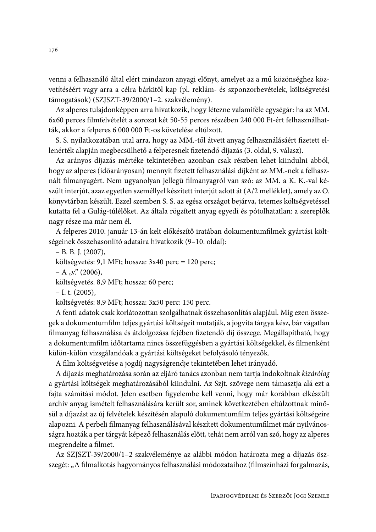venni a felhasználó által elért mindazon anyagi előnyt, amelyet az a mű közönséghez közvetítéséért vagy arra a célra bárkitől kap (pl. reklám- és szponzorbevételek, költségvetési támogatások) (SZJSZT-39/2000/1-2. szakvélemény).

Az alperes tulajdonképpen arra hivatkozik, hogy létezne valamiféle egységár: ha az MM. 6x60 perces filmfelvételét a sorozat két 50-55 perces részében 240 000 Ft-ért felhasználhatták, akkor a felperes 6 000 000 Ft-os követelése eltúlzott.

S. S. nyilatkozatában utal arra, hogy az MM.-től átvett anyag felhasználásáért fizetett ellenérték alapján megbecsülhető a felperesnek fizetendő díjazás (3. oldal, 9. válasz).

Az arányos díjazás mértéke tekintetében azonban csak részben lehet kiindulni abból, hogy az alperes (időarányosan) mennyit fizetett felhasználási díjként az MM.-nek a felhasznált filmanyagért. Nem ugyanolyan jellegű filmanyagról van szó: az MM. a K. K.-val készült interjút, azaz egyetlen személlyel készített interjút adott át (A/2 melléklet), amely az O. könyvtárban készült. Ezzel szemben S. S. az egész országot bejárva, tetemes költségvetéssel kutatta fel a Gulág-túlélőket. Az általa rögzített anyag egyedi és pótolhatatlan: a szereplők nagy része ma már nem él.

A felperes 2010. január 13-án kelt előkészítő iratában dokumentumfilmek gyártási költségeinek összehasonlító adataira hivatkozik (9-10. oldal):

 $- B. B. J. (2007),$ 

költségvetés: 9,1 MFt; hossza:  $3x40$  perc = 120 perc;

 $-A_{y}y''(2006)$ ,

költségvetés. 8,9 MFt; hossza: 60 perc;

 $-$  I. t. (2005),

költségvetés: 8,9 MFt; hossza: 3x50 perc: 150 perc.

A fenti adatok csak korlátozottan szolgálhatnak összehasonlítás alapjául. Míg ezen összegek a dokumentumfilm teljes gyártási költségeit mutatják, a jogvita tárgya kész, bár vágatlan filmanyag felhasználása és átdolgozása fejében fizetendő díj összege. Megállapítható, hogy a dokumentumfilm időtartama nincs összefüggésben a gyártási költségekkel, és filmenként külön-külön vizsgálandóak a gyártási költségeket befolyásoló tényezők.

A film költségvetése a jogdíj nagyságrendje tekintetében lehet irányadó.

A díjazás meghatározása során az eljáró tanács azonban nem tartja indokoltnak kizárólag a gyártási költségek meghatározásából kiindulni. Az Szjt. szövege nem támasztja alá ezt a fajta számítási módot. Jelen esetben figyelembe kell venni, hogy már korábban elkészült archív anyag ismételt felhasználására került sor, aminek következtében eltúlzottnak minősül a díjazást az új felvételek készítésén alapuló dokumentumfilm teljes gyártási költségeire alapozni. A perbeli filmanyag felhasználásával készített dokumentumfilmet már nyilvánosságra hozták a per tárgyát képező felhasználás előtt, tehát nem arról van szó, hogy az alperes megrendelte a filmet.

Az SZJSZT-39/2000/1-2 szakvéleménye az alábbi módon határozta meg a díjazás öszszegét: "A filmalkotás hagyományos felhasználási módozataihoz (filmszínházi forgalmazás,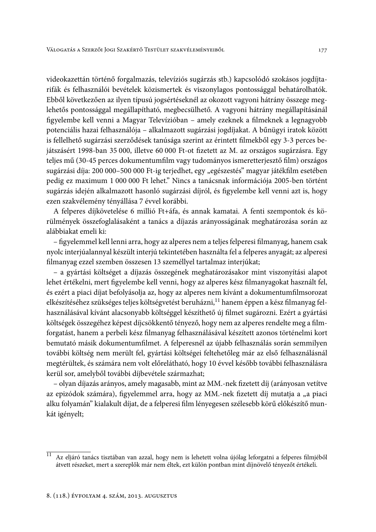videokazettán történő forgalmazás, televíziós sugárzás stb.) kapcsolódó szokásos jogdíjtarifák és felhasználói bevételek közismertek és viszonylagos pontossággal behatárolhatók. Ebből következően az ilyen típusú jogsértéseknél az okozott vagyoni hátrány összege meglehetős pontossággal megállapítható, megbecsülhető. A vagyoni hátrány megállapításánál figyelembe kell venni a Magyar Televízióban - amely ezeknek a filmeknek a legnagyobb potenciális hazai felhasználója – alkalmazott sugárzási jogdíjakat. A bűnügyi iratok között is fellelhető sugárzási szerződések tanúsága szerint az érintett filmekből egy 3-3 perces bejátszásért 1998-ban 35 000, illetve 60 000 Ft-ot fizetett az M. az országos sugárzásra. Egy teljes mű (30-45 perces dokumentumfilm vagy tudományos ismeretterjesztő film) országos sugárzási díja: 200 000-500 000 Ft-ig terjedhet, egy "egészestés" magyar játékfilm esetében pedig ez maximum 1 000 000 Ft lehet." Nincs a tanácsnak információja 2005-ben történt sugárzás idején alkalmazott hasonló sugárzási díjról, és figyelembe kell venni azt is, hogy ezen szakvélemény tényállása 7 évvel korábbi.

A felperes díjkövetelése 6 millió Ft+áfa, és annak kamatai. A fenti szempontok és körülmények összefoglalásaként a tanács a díjazás arányosságának meghatározása során az alábbiakat emeli ki:

- figyelemmel kell lenni arra, hogy az alperes nem a teljes felperesi filmanyag, hanem csak nyolc interjúalannyal készült interjú tekintetében használta fel a felperes anyagát; az alperesi filmanyag ezzel szemben összesen 13 személlyel tartalmaz interjúkat;

- a gyártási költséget a díjazás összegének meghatározásakor mint viszonyítási alapot lehet értékelni, mert figyelembe kell venni, hogy az alperes kész filmanyagokat használt fel, és ezért a piaci díjat befolyásolja az, hogy az alperes nem kívánt a dokumentumfilmsorozat elkészítéséhez szükséges teljes költségvetést beruházni,<sup>11</sup> hanem éppen a kész filmanyag felhasználásával kívánt alacsonyabb költséggel készíthető új filmet sugározni. Ezért a gyártási költségek összegéhez képest díjcsökkentő tényező, hogy nem az alperes rendelte meg a filmforgatást, hanem a perbeli kész filmanyag felhasználásával készített azonos történelmi kort bemutató másik dokumentumfilmet. A felperesnél az újabb felhasználás során semmilyen további költség nem merült fel, gyártási költségei feltehetőleg már az első felhasználásnál megtérültek, és számára nem volt előrelátható, hogy 10 évvel később további felhasználásra kerül sor, amelyből további díjbevétele származhat;

- olyan díjazás arányos, amely magasabb, mint az MM.-nek fizetett díj (arányosan vetítve az epizódok számára), figyelemmel arra, hogy az MM.-nek fizetett díj mutatja a "a piaci alku folyamán" kialakult díjat, de a felperesi film lényegesen szélesebb körű előkészítő munkát igényelt;

 $\overline{11}$ Az eljáró tanács tisztában van azzal, hogy nem is lehetett volna újólag leforgatni a felperes filmjéből átvett részeket, mert a szereplők már nem éltek, ezt külön pontban mint díjnövelő tényezőt értékeli.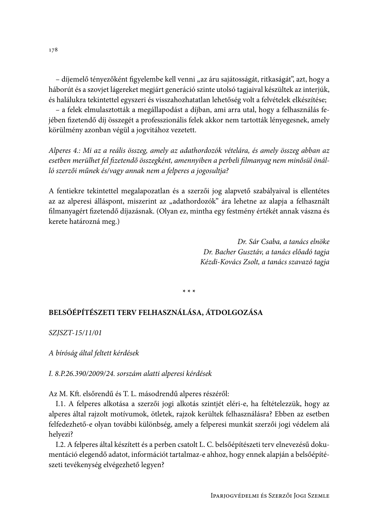- díjemelő tényezőként figyelembe kell venni "az áru sajátosságát, ritkaságát", azt, hogy a háborút és a szovjet lágereket megjárt generáció szinte utolsó tagjaival készültek az interjúk, és halálukra tekintettel egyszeri és visszahozhatatlan lehetőség volt a felvételek elkészítése;

- a felek elmulasztották a megállapodást a díjban, ami arra utal, hogy a felhasználás fejében fizetendő díj összegét a professzionális felek akkor nem tartották lényegesnek, amely körülmény azonban végül a jogyitához vezetett.

Alperes 4.: Mi az a reális összeg, amely az adathordozók vételára, és amely összeg abban az esetben merülhet fel fizetendő összegként, amennyiben a perbeli filmanyag nem minősül önálló szerzői műnek és/vagy annak nem a felperes a jogosultja?

A fentiekre tekintettel megalapozatlan és a szerzői jog alapvető szabályaival is ellentétes az az alperesi álláspont, miszerint az "adathordozók" ára lehetne az alapja a felhasznált filmanyagért fizetendő díjazásnak. (Olyan ez, mintha egy festmény értékét annak vászna és kerete határozná meg.)

> Dr. Sár Csaba, a tanács elnöke Dr. Bacher Gusztáv, a tanács előadó tagja Kézdi-Kovács Zsolt, a tanács szavazó tagja

 $* * *$ 

# BELSŐÉPÍTÉSZETI TERV FELHASZNÁLÁSA, ÁTDOLGOZÁSA

SZJSZT-15/11/01

A bíróság által feltett kérdések

# I. 8.P.26.390/2009/24. sorszám alatti alperesi kérdések

Az M. Kft. elsőrendű és T. L. másodrendű alperes részéről:

I.1. A felperes alkotása a szerzői jogi alkotás szintjét eléri-e, ha feltételezzük, hogy az alperes által rajzolt motívumok, ötletek, rajzok kerültek felhasználásra? Ebben az esetben felfedezhető-e olyan további különbség, amely a felperesi munkát szerzői jogi védelem alá helvezi?

I.2. A felperes által készített és a perben csatolt L. C. belsőépítészeti terv elnevezésű dokumentáció elegendő adatot, információt tartalmaz-e ahhoz, hogy ennek alapján a belsőépítészeti tevékenység elvégezhető legyen?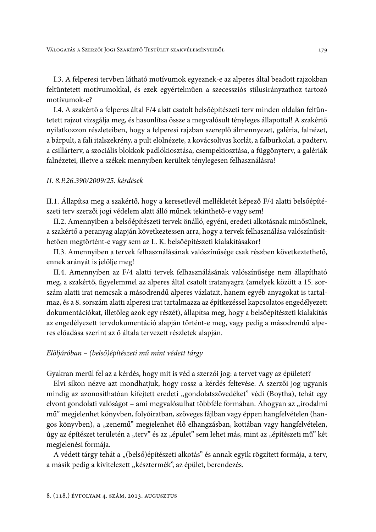I.3. A felperesi tervben látható motívumok egyeznek-e az alperes által beadott rajzokban feltüntetett motívumokkal, és ezek egyértelműen a szecessziós stílusirányzathoz tartozó motívumok-e?

I.4. A szakértő a felperes által F/4 alatt csatolt belsőépítészeti terv minden oldalán feltüntetett rajzot vizsgálja meg, és hasonlítsa össze a megvalósult tényleges állapottal! A szakértő nyilatkozzon részleteiben, hogy a felperesi rajzban szereplő álmennyezet, galéria, falnézet, a bárpult, a fali italszekrény, a pult elölnézete, a kovácsoltvas korlát, a falburkolat, a padtery, a csillárterv, a szociális blokkok padlókiosztása, csempekiosztása, a függönyterv, a galériák falnézetei, illetve a székek mennyiben kerültek ténylegesen felhasználásra!

#### II. 8.P.26.390/2009/25. kérdések

II.1. Állapítsa meg a szakértő, hogy a keresetlevél mellékletét képező F/4 alatti belsőépítészeti terv szerzői jogi védelem alatt álló műnek tekinthető-e vagy sem!

II.2. Amennyiben a belsőépítészeti tervek önálló, egyéni, eredeti alkotásnak minősülnek, a szakértő a peranyag alapján következtessen arra, hogy a tervek felhasználása valószínűsíthetően megtörtént-e vagy sem az L. K. belsőépítészeti kialakításakor!

II.3. Amennyiben a tervek felhasználásának valószínűsége csak részben következtethető, ennek arányát is jelölje meg!

II.4. Amennyiben az F/4 alatti tervek felhasználásának valószínűsége nem állapítható meg, a szakértő, figyelemmel az alperes által csatolt iratanyagra (amelyek között a 15. sorszám alatti irat nemcsak a másodrendű alperes vázlatait, hanem egyéb anyagokat is tartalmaz, és a 8. sorszám alatti alperesi irat tartalmazza az építkezéssel kapcsolatos engedélyezett dokumentációkat, illetőleg azok egy részét), állapítsa meg, hogy a belsőépítészeti kialakítás az engedélyezett tervdokumentáció alapján történt-e meg, vagy pedig a másodrendű alperes előadása szerint az ő általa tervezett részletek alapján.

## Elöljáróban – (belső)építészeti mű mint védett tárgy

Gyakran merül fel az a kérdés, hogy mit is véd a szerzői jog: a tervet vagy az épületet?

Elvi síkon nézve azt mondhatjuk, hogy rossz a kérdés feltevése. A szerzői jog ugyanis mindig az azonosíthatóan kifejtett eredeti "gondolatszövedéket" védi (Boytha), tehát egy elvont gondolati valóságot – ami megvalósulhat többféle formában. Ahogyan az "irodalmi mű" megjelenhet könyvben, folyóiratban, szöveges fájlban vagy éppen hangfelvételen (hangos könyvben), a "zenemű" megjelenhet élő elhangzásban, kottában vagy hangfelvételen, úgy az építészet területén a "terv" és az "épület" sem lehet más, mint az "építészeti mű" két megjelenési formája.

A védett tárgy tehát a "(belső)építészeti alkotás" és annak egyik rögzített formája, a terv, a másik pedig a kivitelezett "késztermék", az épület, berendezés.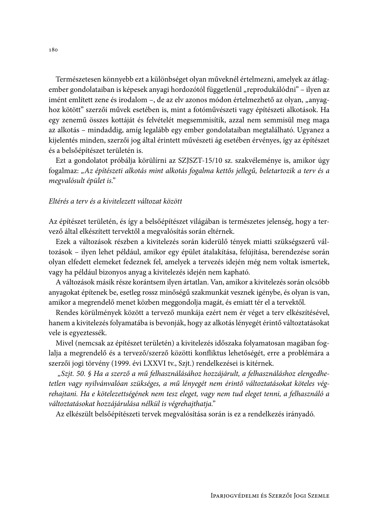Természetesen könnyebb ezt a különbséget olyan műveknél értelmezni, amelyek az átlagember gondolataiban is képesek anyagi hordozótól függetlenül "reprodukálódni" - ilyen az imént említett zene és irodalom -, de az elv azonos módon értelmezhető az olyan, "anyaghoz kötött" szerzői művek esetében is, mint a fotóművészeti vagy építészeti alkotások. Ha egy zenemű összes kottáját és felvételét megsemmisítik, azzal nem semmisül meg maga az alkotás – mindaddig, amíg legalább egy ember gondolataiban megtalálható. Ugyanez a kijelentés minden, szerzői jog által érintett művészeti ág esetében érvényes, így az építészet és a belsőépítészet területén is.

Ezt a gondolatot próbálja körülírni az SZJSZT-15/10 sz. szakvéleménye is, amikor úgy fogalmaz: "Az építészeti alkotás mint alkotás fogalma kettős jellegű, beletartozik a terv és a megvalósult épület is."

### Eltérés a terv és a kivitelezett változat között

Az építészet területén, és így a belsőépítészet világában is természetes jelenség, hogy a tervező által elkészített tervektől a megvalósítás során eltérnek.

Ezek a változások részben a kivitelezés során kiderülő tények miatti szükségszerű változások – ilyen lehet például, amikor egy épület átalakítása, felújítása, berendezése során olyan elfedett elemeket fedeznek fel, amelyek a tervezés idején még nem voltak ismertek, vagy ha például bizonyos anyag a kivitelezés idején nem kapható.

A változások másik része korántsem ilyen ártatlan. Van, amikor a kivitelezés során olcsóbb anyagokat építenek be, esetleg rossz minőségű szakmunkát vesznek igénybe, és olyan is van, amikor a megrendelő menet közben meggondolja magát, és emiatt tér el a tervektől.

Rendes körülmények között a tervező munkája ezért nem ér véget a terv elkészítésével, hanem a kivitelezés folyamatába is bevonják, hogy az alkotás lényegét érintő változtatásokat vele is egyeztessék.

Mivel (nemcsak az építészet területén) a kivitelezés időszaka folyamatosan magában foglalja a megrendelő és a tervező/szerző közötti konfliktus lehetőségét, erre a problémára a szerzői jogi törvény (1999. évi LXXVI tv., Szjt.) rendelkezései is kitérnek.

"Szjt. 50. § Ha a szerző a mű felhasználásához hozzájárult, a felhasználáshoz elengedhetetlen vagy nyilvánvalóan szükséges, a mű lényegét nem érintő változtatásokat köteles végrehajtani. Ha e kötelezettségének nem tesz eleget, vagy nem tud eleget tenni, a felhasználó a változtatásokat hozzájárulása nélkül is végrehajthatja."

Az elkészült belsőépítészeti tervek megvalósítása során is ez a rendelkezés irányadó.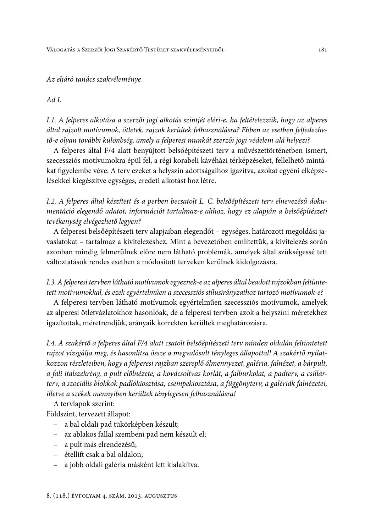### Az eljáró tanács szakvéleménye

#### $Ad I$ .

I.1. A felperes alkotása a szerzői jogi alkotás szintjét eléri-e, ha feltételezzük, hogy az alperes által rajzolt motívumok, ötletek, rajzok kerültek felhasználásra? Ebben az esetben felfedezhető-e olyan további különbség, amely a felperesi munkát szerzői jogi védelem alá helyezi?

A felperes által F/4 alatt benyújtott belsőépítészeti terv a művészettörténetben ismert, szecessziós motívumokra épül fel, a régi korabeli kávéházi térképzéseket, fellelhető mintákat figyelembe véve. A terv ezeket a helyszín adottságaihoz igazítva, azokat egyéni elképzelésekkel kiegészítve egységes, eredeti alkotást hoz létre.

I.2. A felperes által készített és a perben becsatolt L. C. belsőépítészeti terv elnevezésű dokumentáció elegendő adatot, információt tartalmaz-e ahhoz, hogy ez alapján a belsőépítészeti tevékenység elvégezhető legyen?

A felperesi belsőépítészeti terv alapjaiban elegendőt – egységes, határozott megoldási javaslatokat - tartalmaz a kivitelezéshez. Mint a bevezetőben említettük, a kivitelezés során azonban mindig felmerülnek előre nem látható problémák, amelyek által szükségessé tett változtatások rendes esetben a módosított terveken kerülnek kidolgozásra.

# I.3. A felperesi tervben látható motívumok egyeznek-e az alperes által beadott rajzokban feltüntetett motívumokkal, és ezek egyértelműen a szecessziós stílusirányzathoz tartozó motívumok-e?

A felperesi tervben látható motívumok egyértelműen szecessziós motívumok, amelyek az alperesi ötletvázlatokhoz hasonlóak, de a felperesi tervben azok a helyszíni méretekhez igazítottak, méretrendjük, arányaik korrekten kerültek meghatározásra.

I.4. A szakértő a felperes által F/4 alatt csatolt belsőépítészeti terv minden oldalán feltüntetett rajzot vizsgálja meg, és hasonlítsa össze a megvalósult tényleges állapottal! A szakértő nyilatkozzon részleteiben, hogy a felperesi rajzban szereplő álmennyezet, galéria, falnézet, a bárpult, a fali italszekrény, a pult elölnézete, a kovácsoltvas korlát, a falburkolat, a padtery, a csillárterv, a szociális blokkok padlókiosztása, csempekiosztása, a függönyterv, a galériák falnézetei, illetve a székek mennyiben kerültek ténylegesen felhasználásra!

A tervlapok szerint:

Földszint, tervezett állapot:

- a bal oldali pad tükörképben készült;
- az ablakos fallal szembeni pad nem készült el;
- a pult más elrendezésű;
- étellift csak a bal oldalon:
- a jobb oldali galéria másként lett kialakítva.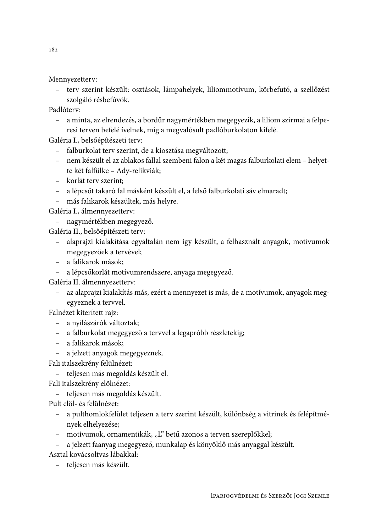Mennyezetterv:

- terv szerint készült: osztások, lámpahelyek, liliommotívum, körbefutó, a szellőzést szolgáló résbefúvók.

Padlóterv:

- a minta, az elrendezés, a bordűr nagymértékben megegyezik, a liliom szirmai a felperesi terven befelé ívelnek, míg a megvalósult padlóburkolaton kifelé.

Galéria I., belsőépítészeti terv:

- falburkolat terv szerint, de a kiosztása megváltozott;
- nem készült el az ablakos fallal szembeni falon a két magas falburkolati elem helyette két falfülke – Ady-relikviák;
- korlát terv szerint;
- a lépcsőt takaró fal másként készült el, a felső falburkolati sáv elmaradt;
- más falikarok készültek, más helyre.

Galéria I., álmennyezetterv:

- nagymértékben megegyező.

Galéria II., belsőépítészeti terv:

- alaprajzi kialakítása egyáltalán nem így készült, a felhasznált anyagok, motívumok megegyezőek a tervével;
- a falikarok mások;
- a lépcsőkorlát motívumrendszere, anyaga megegyező.

Galéria II. álmennyezetterv:

- az alaprajzi kialakítás más, ezért a mennyezet is más, de a motívumok, anyagok megegyeznek a tervvel.

Falnézet kiterített rajz:

- a nyílászárók változtak;
- a falburkolat megegyező a tervvel a legapróbb részletekig;
- a falikarok mások;
- a jelzett anyagok megegyeznek.
- Fali italszekrény felülnézet:
	- teljesen más megoldás készült el.
- Fali italszekrény elölnézet:
	- teljesen más megoldás készült.

Pult elöl- és felülnézet:

- a pulthomlokfelület teljesen a terv szerint készült, különbség a vitrinek és felépítmények elhelyezése;
- motívumok, ornamentikák, "L" betű azonos a terven szereplőkkel;
- a jelzett faanyag megegyező, munkalap és könyöklő más anyaggal készült.

Asztal kovácsoltvas lábakkal:

- teljesen más készült.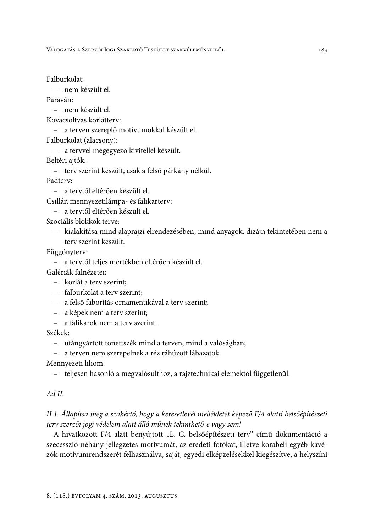VÁLOGATÁS A SZERZŐI JOGI SZAKÉRTŐ TESTÜLET SZAKVÉLEMÉNYEIBŐL

Falburkolat:

- nem készült el.

Paraván:

- nem készült el.

Kovácsoltvas korlátterv:

- a terven szereplő motívumokkal készült el.

Falburkolat (alacsony):

- a tervvel megegyező kivitellel készült.

Beltéri aitók:

- terv szerint készült, csak a felső párkány nélkül.

Padtery:

- a tervtől eltérően készült el.

Csillár, mennyezetilámpa- és falikarterv:

- a tervtől eltérően készült el.

Szociális blokkok terve:

- kialakítása mind alaprajzi elrendezésében, mind anyagok, dizájn tekintetében nem a terv szerint készült.

Függönyterv:

- a tervtől teljes mértékben eltérően készült el.

Galériák falnézetei:

- korlát a tery szerint:
- falburkolat a terv szerint:
- a felső faborítás ornamentikával a terv szerint;
- a képek nem a terv szerint;
- a falikarok nem a terv szerint.

Székek:

- utángyártott tonettszék mind a terven, mind a valóságban;

- a terven nem szerepelnek a réz ráhúzott lábazatok.

Mennyezeti liliom:

- teljesen hasonló a megvalósulthoz, a rajztechnikai elemektől függetlenül.

# $Ad II$ .

# II.1. Állapítsa meg a szakértő, hogy a keresetlevél mellékletét képező F/4 alatti belsőépítészeti terv szerzői jogi védelem alatt álló műnek tekinthető-e vagy sem!

A hivatkozott F/4 alatt benyújtott "L. C. belsőépítészeti terv" című dokumentáció a szecesszió néhány jellegzetes motívumát, az eredeti fotókat, illetve korabeli egyéb kávézók motívumrendszerét felhasználva, saját, egyedi elképzelésekkel kiegészítve, a helyszíni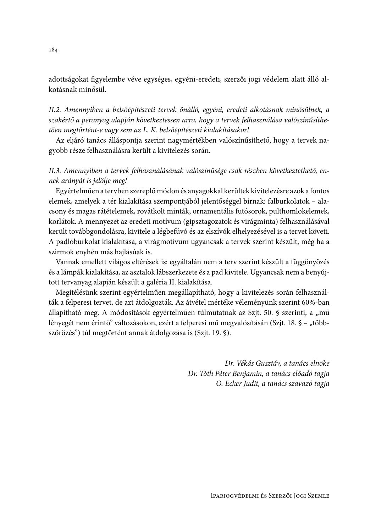adottságokat figyelembe véve egységes, egyéni-eredeti, szerzői jogi védelem alatt álló alkotásnak minősül.

II.2. Amennyiben a belsőépítészeti tervek önálló, egyéni, eredeti alkotásnak minősülnek, a szakértő a peranyag alapján következtessen arra, hogy a tervek felhasználása valószínűsíthetően megtörtént-e vagy sem az L. K. belsőépítészeti kialakításakor!

Az eljáró tanács álláspontja szerint nagymértékben valószínűsíthető, hogy a tervek nagyobb része felhasználásra került a kivitelezés során.

# II.3. Amennyiben a tervek felhasználásának valószínűsége csak részben következtethető, ennek arányát is jelölje meg!

Egyértelműen a tervben szereplő módon és anyagokkal kerültek kivitelezésre azok a fontos elemek, amelyek a tér kialakítása szempontjából jelentőséggel bírnak: falburkolatok – alacsony és magas rátételemek, rovátkolt minták, ornamentális futósorok, pulthomlokelemek, korlátok. A mennyezet az eredeti motívum (gipsztagozatok és virágminta) felhasználásával került továbbgondolásra, kivitele a légbefúvó és az elszívók elhelyezésével is a tervet követi. A padlóburkolat kialakítása, a virágmotívum ugyancsak a tervek szerint készült, még ha a szirmok enyhén más hajlásúak is.

Vannak emellett világos eltérések is: egyáltalán nem a terv szerint készült a függönyözés és a lámpák kialakítása, az asztalok lábszerkezete és a pad kivitele. Ugyancsak nem a benyújtott tervanyag alapján készült a galéria II. kialakítása.

Megítélésünk szerint egyértelműen megállapítható, hogy a kivitelezés során felhasználták a felperesi tervet, de azt átdolgozták. Az átvétel mértéke véleményünk szerint 60%-ban állapítható meg. A módosítások egyértelműen túlmutatnak az Szjt. 50. § szerinti, a "mű lényegét nem érintő" változásokon, ezért a felperesi mű megvalósításán (Szjt. 18. § - "többszörözés") túl megtörtént annak átdolgozása is (Szjt. 19. §).

> Dr. Vékás Gusztáv, a tanács elnöke Dr. Tóth Péter Benjamin, a tanács előadó tagja O. Ecker Judit, a tanács szavazó tagja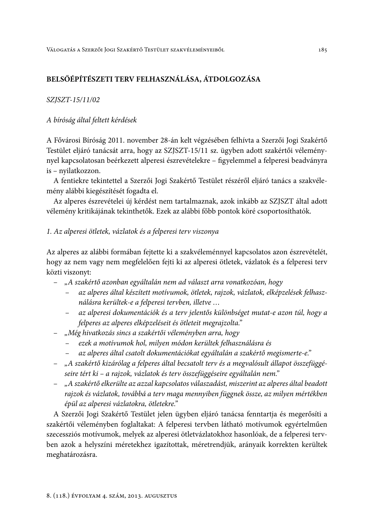# BELSŐÉPÍTÉSZETI TERV FELHASZNÁLÁSA, ÁTDOLGOZÁSA

### SZJSZT-15/11/02

## A bíróság által feltett kérdések

A Fővárosi Bíróság 2011. november 28-án kelt végzésében felhívta a Szerzői Jogi Szakértő Testület eljáró tanácsát arra, hogy az SZJSZT-15/11 sz. ügyben adott szakértői véleménynyel kapcsolatosan beérkezett alperesi észrevételekre – figyelemmel a felperesi beadványra is - nyilatkozzon.

A fentiekre tekintettel a Szerzői Jogi Szakértő Testület részéről eljáró tanács a szakvélemény alábbi kiegészítését fogadta el.

Az alperes észrevételei új kérdést nem tartalmaznak, azok inkább az SZJSZT által adott vélemény kritikájának tekinthetők. Ezek az alábbi főbb pontok köré csoportosíthatók.

## 1. Az alperesi ötletek, vázlatok és a felperesi terv viszonya

Az alperes az alábbi formában fejtette ki a szakvéleménnyel kapcsolatos azon észrevételét, hogy az nem vagy nem megfelelően fejti ki az alperesi ötletek, vázlatok és a felperesi terv közti viszonyt:

- "A szakértő azonban egyáltalán nem ad választ arra vonatkozóan, hogy
	- az alperes által készített motívumok, ötletek, rajzok, vázlatok, elképzelések felhasználásra kerültek-e a felperesi tervben, illetve ...
	- az alperesi dokumentációk és a terv jelentős különbséget mutat-e azon túl, hogy a felperes az alperes elképzeléseit és ötleteit megrajzolta."
- "Még hivatkozás sincs a szakértői véleményben arra, hogy
	- ezek a motívumok hol, milyen módon kerültek felhasználásra és  $\equiv$
	- az alperes által csatolt dokumentációkat egyáltalán a szakértő megismerte-e."
- "A szakértő kizárólag a felperes által becsatolt terv és a megvalósult állapot összefüggéseire tért ki – a rajzok, vázlatok és terv összefüggéseire egyáltalán nem."
- "A szakértő elkerülte az azzal kapcsolatos válaszadást, miszerint az alperes által beadott rajzok és vázlatok, továbbá a terv maga mennyiben függnek össze, az milyen mértékben épül az alperesi vázlatokra, ötletekre."

A Szerzői Jogi Szakértő Testület jelen ügyben eljáró tanácsa fenntartja és megerősíti a szakértői véleményben foglaltakat: A felperesi tervben látható motívumok egyértelműen szecessziós motívumok, melyek az alperesi ötletvázlatokhoz hasonlóak, de a felperesi tervben azok a helyszíni méretekhez igazítottak, méretrendjük, arányaik korrekten kerültek meghatározásra.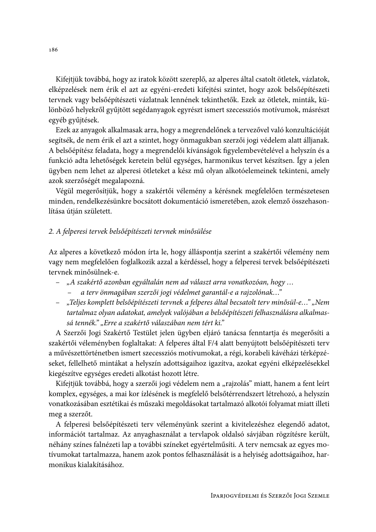Kifejtjük továbbá, hogy az iratok között szereplő, az alperes által csatolt ötletek, vázlatok, elképzelések nem érik el azt az egyéni-eredeti kifejtési szintet, hogy azok belsőépítészeti tervnek vagy belsőépítészeti vázlatnak lennének tekinthetők. Ezek az ötletek, minták, különböző helyekről gyűjtött segédanyagok egyrészt ismert szecessziós motívumok, másrészt egyéb gyűjtések.

Ezek az anyagok alkalmasak arra, hogy a megrendelőnek a tervezővel való konzultációját segítsék, de nem érik el azt a szintet, hogy önmagukban szerzői jogi védelem alatt álljanak. A belsőépítész feladata, hogy a megrendelői kívánságok figyelembevételével a helyszín és a funkció adta lehetőségek keretein belül egységes, harmonikus tervet készítsen. Így a jelen ügyben nem lehet az alperesi ötleteket a kész mű olyan alkotóelemeinek tekinteni, amely azok szerzőségét megalapozná.

Végül megerősítjük, hogy a szakértői vélemény a kérésnek megfelelően természetesen minden, rendelkezésünkre bocsátott dokumentáció ismeretében, azok elemző összehasonlítása útján született.

# 2. A felperesi tervek belsőépítészeti tervnek minősülése

Az alperes a következő módon írta le, hogy álláspontja szerint a szakértői vélemény nem vagy nem megfelelően foglalkozik azzal a kérdéssel, hogy a felperesi tervek belsőépítészeti tervnek minősülnek-e.

- "A szakértő azonban egyáltalán nem ad választ arra vonatkozóan, hogy ...
	- a terv önmagában szerzői jogi védelmet garantál-e a rajzolónak..."
- "Teljes komplett belsőépítészeti tervnek a felperes által becsatolt terv minősül-e..." "Nem tartalmaz olyan adatokat, amelyek valójában a belsőépítészeti felhasználásra alkalmassá tennék." "Erre a szakértő válaszában nem tért ki."

A Szerzői Jogi Szakértő Testület jelen ügyben eljáró tanácsa fenntartja és megerősíti a szakértői véleményben foglaltakat: A felperes által F/4 alatt benyújtott belsőépítészeti terv a művészettörténetben ismert szecessziós motívumokat, a régi, korabeli kávéházi térképzéseket, fellelhető mintákat a helyszín adottságaihoz igazítva, azokat egyéni elképzelésekkel kiegészítve egységes eredeti alkotást hozott létre.

Kifejtjük továbbá, hogy a szerzői jogi védelem nem a "rajzolás" miatt, hanem a fent leírt komplex, egységes, a mai kor ízlésének is megfelelő belsőtérrendszert létrehozó, a helyszín vonatkozásában esztétikai és műszaki megoldásokat tartalmazó alkotói folyamat miatt illeti meg a szerzőt.

A felperesi belsőépítészeti terv véleményünk szerint a kivitelezéshez elegendő adatot, információt tartalmaz. Az anyaghasználat a tervlapok oldalsó sávjában rögzítésre került, néhány színes falnézeti lap a további színeket egyértelműsíti. A terv nemcsak az egyes motívumokat tartalmazza, hanem azok pontos felhasználását is a helyiség adottságaihoz, harmonikus kialakításához.